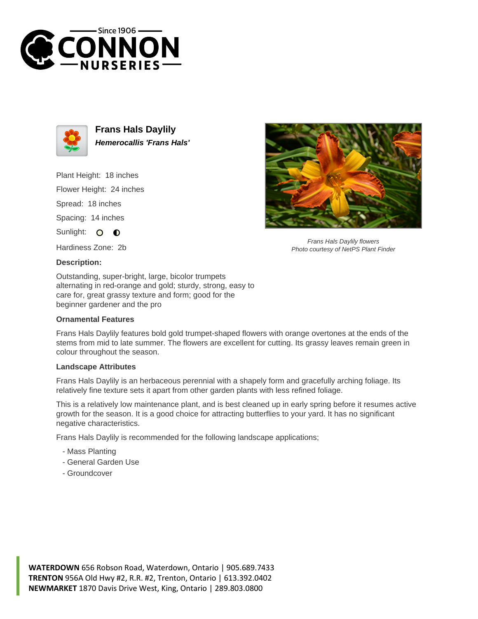



**Frans Hals Daylily Hemerocallis 'Frans Hals'**

Plant Height: 18 inches

Flower Height: 24 inches

Spread: 18 inches

Spacing: 14 inches

Sunlight: O  $\bullet$ 

Hardiness Zone: 2b

## **Description:**

Outstanding, super-bright, large, bicolor trumpets alternating in red-orange and gold; sturdy, strong, easy to care for, great grassy texture and form; good for the beginner gardener and the pro

## **Ornamental Features**

Frans Hals Daylily features bold gold trumpet-shaped flowers with orange overtones at the ends of the stems from mid to late summer. The flowers are excellent for cutting. Its grassy leaves remain green in colour throughout the season.

## **Landscape Attributes**

Frans Hals Daylily is an herbaceous perennial with a shapely form and gracefully arching foliage. Its relatively fine texture sets it apart from other garden plants with less refined foliage.

This is a relatively low maintenance plant, and is best cleaned up in early spring before it resumes active growth for the season. It is a good choice for attracting butterflies to your yard. It has no significant negative characteristics.

Frans Hals Daylily is recommended for the following landscape applications;

- Mass Planting
- General Garden Use
- Groundcover



Frans Hals Daylily flowers Photo courtesy of NetPS Plant Finder

**WATERDOWN** 656 Robson Road, Waterdown, Ontario | 905.689.7433 **TRENTON** 956A Old Hwy #2, R.R. #2, Trenton, Ontario | 613.392.0402 **NEWMARKET** 1870 Davis Drive West, King, Ontario | 289.803.0800